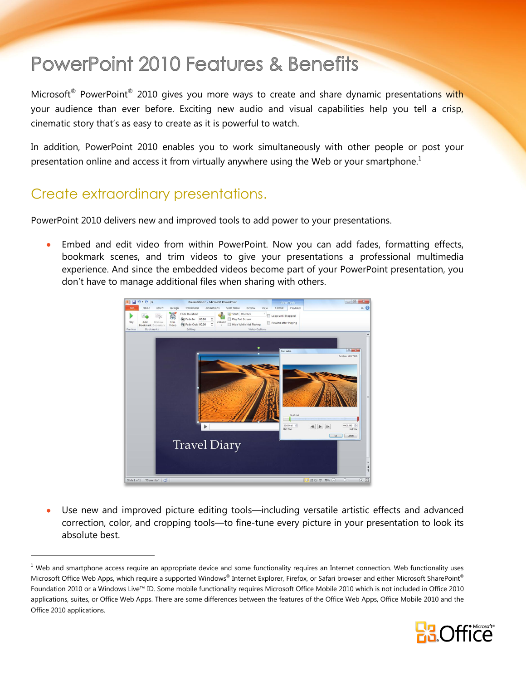# **PowerPoint 2010 Features & Benefits**

Microsoft® PowerPoint® 2010 gives you more ways to create and share dynamic presentations with your audience than ever before. Exciting new audio and visual capabilities help you tell a crisp, cinematic story that's as easy to create as it is powerful to watch.

In addition, PowerPoint 2010 enables you to work simultaneously with other people or post your presentation online and access it from virtually anywhere using the Web or your smartphone.<sup>1</sup>

### Create extraordinary presentations.

 $\overline{a}$ 

PowerPoint 2010 delivers new and improved tools to add power to your presentations.

 Embed and edit video from within PowerPoint. Now you can add fades, formatting effects, bookmark scenes, and trim videos to give your presentations a professional multimedia experience. And since the embedded videos become part of your PowerPoint presentation, you don't have to manage additional files when sharing with others.

<span id="page-0-0"></span>

 Use new and improved picture editing tools—including versatile artistic effects and advanced correction, color, and cropping tools—to fine-tune every picture in your presentation to look its absolute best.

 $<sup>1</sup>$  Web and smartphone access require an appropriate device and some functionality requires an Internet connection. Web functionality uses</sup> Microsoft Office Web Apps, which require a supported Windows® Internet Explorer, Firefox, or Safari browser and either Microsoft SharePoint® Foundation 2010 or a Windows Live™ ID. Some mobile functionality requires Microsoft Office Mobile 2010 which is not included in Office 2010 applications, suites, or Office Web Apps. There are some differences between the features of the Office Web Apps, Office Mobile 2010 and the Office 2010 applications.

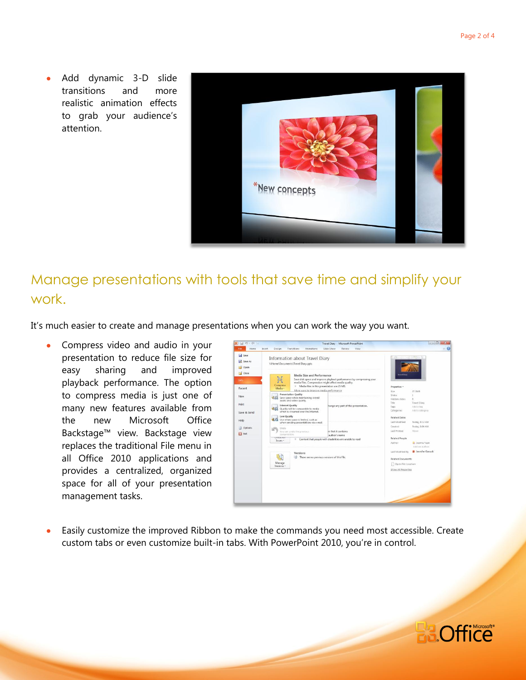Add dynamic 3-D slide transitions and more realistic animation effects to grab your audience's attention.



## Manage presentations with tools that save time and simplify your work.

It's much easier to create and manage presentations when you can work the way you want.

• Compress video and audio in your presentation to reduce file size for easy sharing and improved playback performance. The option to compress media is just one of many new features available from the new Microsoft Office Backstage™ view. Backstage view replaces the traditional File menu in all Office 2010 applications and provides a centralized, organized space for all of your presentation management tasks.



 Easily customize the improved Ribbon to make the commands you need most accessible. Create custom tabs or even customize built-in tabs. With PowerPoint 2010, you're in control.

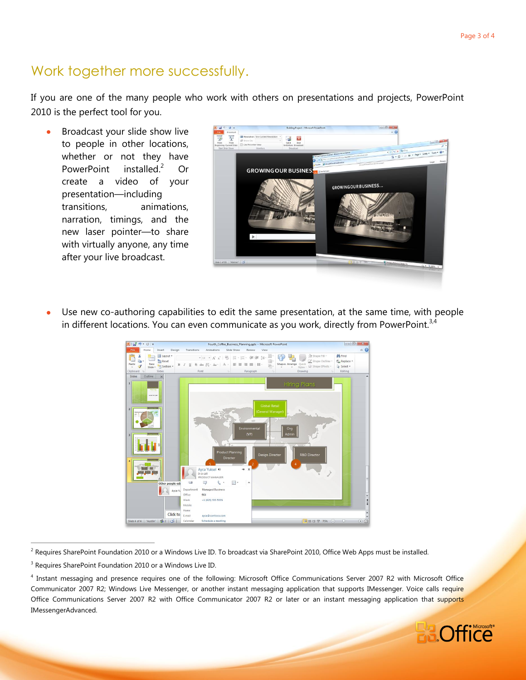## Work together more successfully.

If you are one of the many people who work with others on presentations and projects, PowerPoint 2010 is the perfect tool for you.

 Broadcast your slide show live to people in other locations, whether or not they have PowerPoint installed.<sup>2</sup> Or create a video of your presentation—including transitions, animations, narration, timings, and the new laser pointer—to share with virtually anyone, any time after your live broadcast.

<span id="page-2-0"></span>

 Use new co-authoring capabilities to edit the same presentation, at the same time, with people in different locations. You can even communicate as you work, directly from PowerPoint.<sup>3,4</sup>



<sup>&</sup>lt;sup>2</sup> Requires SharePoint Foundation 2010 or a Windows Live ID. To broadcast via SharePoint 2010, Office Web Apps must be installed.

 $\overline{a}$ 

<sup>4</sup> Instant messaging and presence requires one of the following: Microsoft Office Communications Server 2007 R2 with Microsoft Office Communicator 2007 R2; Windows Live Messenger, or another instant messaging application that supports IMessenger. Voice calls require Office Communications Server 2007 R2 with Office Communicator 2007 R2 or later or an instant messaging application that supports IMessengerAdvanced.



<sup>&</sup>lt;sup>3</sup> Requires SharePoint Foundation 2010 or a Windows Live ID.